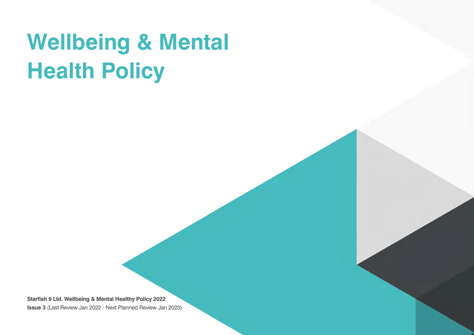# **Wellbeing & Mental Health Policy**

**Starfish 9 Ltd. Wellbeing & Mental Healthy Policy 2022 Issue 3** (Last Review Jan 2022 - Next Planned Review Jan 2023)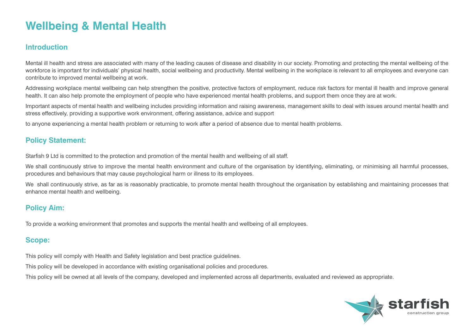# **Wellbeing & Mental Health**

# **Introduction**

Mental ill health and stress are associated with many of the leading causes of disease and disability in our society. Promoting and protecting the mental wellbeing of the workforce is important for individuals' physical health, social wellbeing and productivity. Mental wellbeing in the workplace is relevant to all employees and everyone can contribute to improved mental wellbeing at work.

Addressing workplace mental wellbeing can help strengthen the positive, protective factors of employment, reduce risk factors for mental ill health and improve general health. It can also help promote the employment of people who have experienced mental health problems, and support them once they are at work.

Important aspects of mental health and wellbeing includes providing information and raising awareness, management skills to deal with issues around mental health and stress effectively, providing a supportive work environment, offering assistance, advice and support

to anyone experiencing a mental health problem or returning to work after a period of absence due to mental health problems.

# **Policy Statement:**

Starfish 9 Ltd is committed to the protection and promotion of the mental health and wellbeing of all staff.

We shall continuously strive to improve the mental health environment and culture of the organisation by identifying, eliminating, or minimising all harmful processes, procedures and behaviours that may cause psychological harm or illness to its employees.

We shall continuously strive, as far as is reasonably practicable, to promote mental health throughout the organisation by establishing and maintaining processes that enhance mental health and wellbeing.

# **Policy Aim:**

To provide a working environment that promotes and supports the mental health and wellbeing of all employees.

# **Scope:**

This policy will comply with Health and Safety legislation and best practice guidelines.

This policy will be developed in accordance with existing organisational policies and procedures.

This policy will be owned at all levels of the company, developed and implemented across all departments, evaluated and reviewed as appropriate.

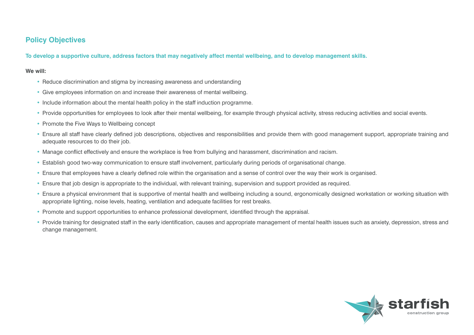# **Policy Objectives**

**To develop a supportive culture, address factors that may negatively affect mental wellbeing, and to develop management skills.**

#### **We will:**

- Reduce discrimination and stigma by increasing awareness and understanding
- Give employees information on and increase their awareness of mental wellbeing.
- Include information about the mental health policy in the staff induction programme.
- Provide opportunities for employees to look after their mental wellbeing, for example through physical activity, stress reducing activities and social events.
- Promote the Five Ways to Wellbeing concept
- Ensure all staff have clearly defined job descriptions, objectives and responsibilities and provide them with good management support, appropriate training and adequate resources to do their job.
- Manage conflict effectively and ensure the workplace is free from bullying and harassment, discrimination and racism.
- Establish good two-way communication to ensure staff involvement, particularly during periods of organisational change.
- Ensure that employees have a clearly defined role within the organisation and a sense of control over the way their work is organised.
- Ensure that job design is appropriate to the individual, with relevant training, supervision and support provided as required.
- Ensure a physical environment that is supportive of mental health and wellbeing including a sound, ergonomically designed workstation or working situation with appropriate lighting, noise levels, heating, ventilation and adequate facilities for rest breaks.
- Promote and support opportunities to enhance professional development, identified through the appraisal.
- Provide training for designated staff in the early identification, causes and appropriate management of mental health issues such as anxiety, depression, stress and change management.

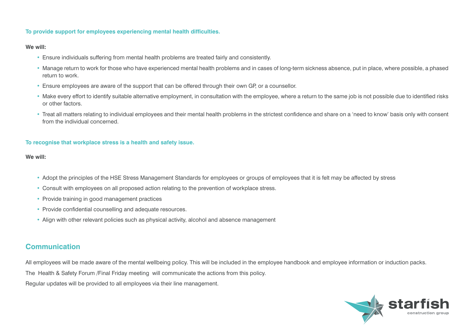#### **To provide support for employees experiencing mental health difficulties.**

#### **We will:**

- Ensure individuals suffering from mental health problems are treated fairly and consistently.
- Manage return to work for those who have experienced mental health problems and in cases of long-term sickness absence, put in place, where possible, a phased return to work.
- Ensure employees are aware of the support that can be offered through their own GP, or a counsellor.
- Make every effort to identify suitable alternative employment, in consultation with the employee, where a return to the same job is not possible due to identified risks or other factors.
- Treat all matters relating to individual employees and their mental health problems in the strictest confidence and share on a 'need to know' basis only with consent from the individual concerned.

#### **To recognise that workplace stress is a health and safety issue.**

#### **We will:**

- Adopt the principles of the HSE Stress Management Standards for employees or groups of employees that it is felt may be affected by stress
- Consult with employees on all proposed action relating to the prevention of workplace stress.
- Provide training in good management practices
- Provide confidential counselling and adequate resources.
- Align with other relevant policies such as physical activity, alcohol and absence management

### **Communication**

All employees will be made aware of the mental wellbeing policy. This will be included in the employee handbook and employee information or induction packs.

The Health & Safety Forum /Final Friday meeting will communicate the actions from this policy.

Regular updates will be provided to all employees via their line management.